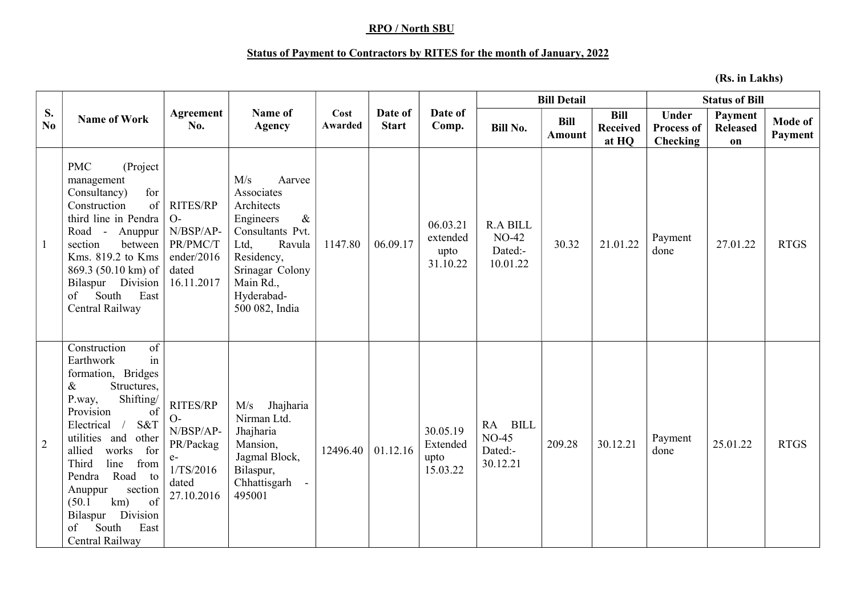## RPO / North SBU

## Status of Payment to Contractors by RITES for the month of January, 2022

(Rs. in Lakhs)

| S.<br>No.      | <b>Name of Work</b>                                                                                                                                                                                                                                                                                                                                                           | Agreement<br>No.                                                                              | Name of<br><b>Agency</b>                                                                                                                                                           | Cost<br>Awarded | Date of<br><b>Start</b> | Date of<br>Comp.                         | <b>Bill Detail</b>                              |                       |                                         | <b>Status of Bill</b>                  |                                  |                    |
|----------------|-------------------------------------------------------------------------------------------------------------------------------------------------------------------------------------------------------------------------------------------------------------------------------------------------------------------------------------------------------------------------------|-----------------------------------------------------------------------------------------------|------------------------------------------------------------------------------------------------------------------------------------------------------------------------------------|-----------------|-------------------------|------------------------------------------|-------------------------------------------------|-----------------------|-----------------------------------------|----------------------------------------|----------------------------------|--------------------|
|                |                                                                                                                                                                                                                                                                                                                                                                               |                                                                                               |                                                                                                                                                                                    |                 |                         |                                          | <b>Bill No.</b>                                 | <b>Bill</b><br>Amount | <b>Bill</b><br><b>Received</b><br>at HQ | <b>Under</b><br>Process of<br>Checking | Payment<br><b>Released</b><br>on | Mode of<br>Payment |
| $\mathbf{1}$   | <b>PMC</b><br>(Project<br>management<br>for<br>Consultancy)<br>of<br>Construction<br>third line in Pendra<br>Road - Anuppur<br>section<br>between<br>Kms. 819.2 to Kms<br>869.3 (50.10 km) of<br>Bilaspur Division<br>South<br>East<br>of<br>Central Railway                                                                                                                  | <b>RITES/RP</b><br>$O-$<br>N/BSP/AP-<br>PR/PMC/T<br>ender/2016<br>dated<br>16.11.2017         | M/s<br>Aarvee<br>Associates<br>Architects<br>Engineers<br>$\&$<br>Consultants Pvt.<br>Ltd,<br>Ravula<br>Residency,<br>Srinagar Colony<br>Main Rd.,<br>Hyderabad-<br>500 082, India | 1147.80         | 06.09.17                | 06.03.21<br>extended<br>upto<br>31.10.22 | <b>R.A BILL</b><br>NO-42<br>Dated:-<br>10.01.22 | 30.32                 | 21.01.22                                | Payment<br>done                        | 27.01.22                         | <b>RTGS</b>        |
| $\overline{2}$ | of<br>Construction<br>in<br>Earthwork<br>formation, Bridges<br>Structures,<br>&<br>Shifting/<br>P.way,<br>Provision<br>of<br>S&T<br>Electrical<br>$\sqrt{2}$<br>utilities and<br>other<br>allied<br>works<br>for<br>line<br>Third<br>from<br>Pendra<br>Road to<br>section<br>Anuppur<br>of<br>km)<br>(50.1)<br>Division<br>Bilaspur<br>East<br>South<br>of<br>Central Railway | <b>RITES/RP</b><br>$O-$<br>N/BSP/AP-<br>PR/Packag<br>$e-$<br>1/TS/2016<br>dated<br>27.10.2016 | M/s<br>Jhajharia<br>Nirman Ltd.<br>Jhajharia<br>Mansion,<br>Jagmal Block,<br>Bilaspur,<br>Chhattisgarh<br>495001                                                                   | 12496.40        | 01.12.16                | 30.05.19<br>Extended<br>upto<br>15.03.22 | RA BILL<br>$NO-45$<br>Dated:-<br>30.12.21       | 209.28                | 30.12.21                                | Payment<br>done                        | 25.01.22                         | <b>RTGS</b>        |